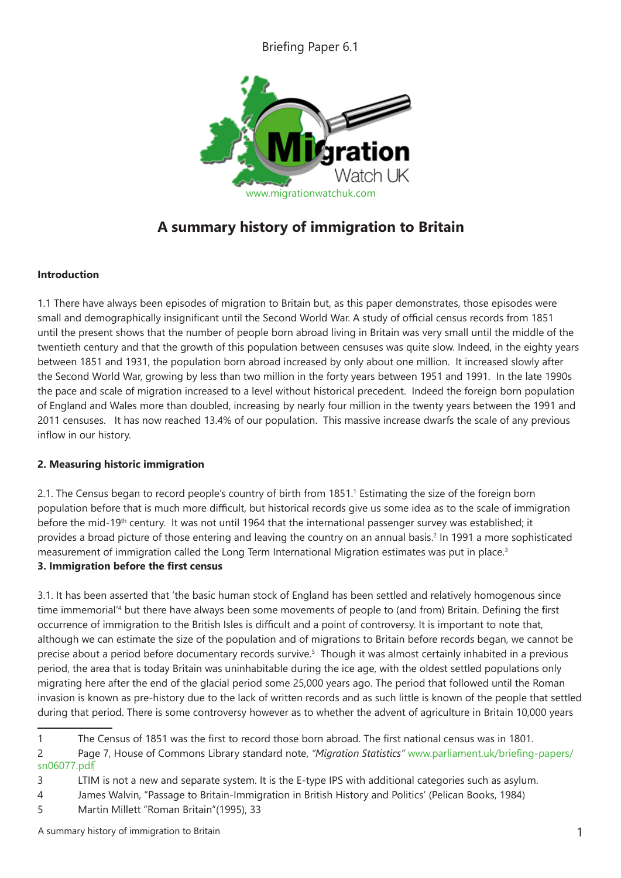Briefing Paper 6.1



# **A summary history of immigration to Britain**

## **Introduction**

1.1 There have always been episodes of migration to Britain but, as this paper demonstrates, those episodes were small and demographically insignificant until the Second World War. A study of official census records from 1851 until the present shows that the number of people born abroad living in Britain was very small until the middle of the twentieth century and that the growth of this population between censuses was quite slow. Indeed, in the eighty years between 1851 and 1931, the population born abroad increased by only about one million. It increased slowly after the Second World War, growing by less than two million in the forty years between 1951 and 1991. In the late 1990s the pace and scale of migration increased to a level without historical precedent. Indeed the foreign born population of England and Wales more than doubled, increasing by nearly four million in the twenty years between the 1991 and 2011 censuses. It has now reached 13.4% of our population. This massive increase dwarfs the scale of any previous inflow in our history.

# **2. Measuring historic immigration**

2.1. The Census began to record people's country of birth from 1851.<sup>1</sup> Estimating the size of the foreign born population before that is much more difficult, but historical records give us some idea as to the scale of immigration before the mid-19th century. It was not until 1964 that the international passenger survey was established; it provides a broad picture of those entering and leaving the country on an annual basis.<sup>2</sup> In 1991 a more sophisticated measurement of immigration called the Long Term International Migration estimates was put in place.<sup>3</sup>

#### **3. Immigration before the first census**

3.1. It has been asserted that 'the basic human stock of England has been settled and relatively homogenous since time immemorial'4 but there have always been some movements of people to (and from) Britain. Defining the first occurrence of immigration to the British Isles is difficult and a point of controversy. It is important to note that, although we can estimate the size of the population and of migrations to Britain before records began, we cannot be precise about a period before documentary records survive.5 Though it was almost certainly inhabited in a previous period, the area that is today Britain was uninhabitable during the ice age, with the oldest settled populations only migrating here after the end of the glacial period some 25,000 years ago. The period that followed until the Roman invasion is known as pre-history due to the lack of written records and as such little is known of the people that settled during that period. There is some controversy however as to whether the advent of agriculture in Britain 10,000 years

<sup>1</sup> The Census of 1851 was the first to record those born abroad. The first national census was in 1801.

<sup>2</sup> Page 7, House of Commons Library standard note, *"Migration Statistics"* www.parliament.uk/briefing-papers/ sn06077.pdf

<sup>3</sup> LTIM is not a new and separate system. It is the E-type IPS with additional categories such as asylum.

<sup>4</sup> James Walvin, "Passage to Britain-Immigration in British History and Politics' (Pelican Books, 1984)

<sup>5</sup> Martin Millett "Roman Britain"(1995), 33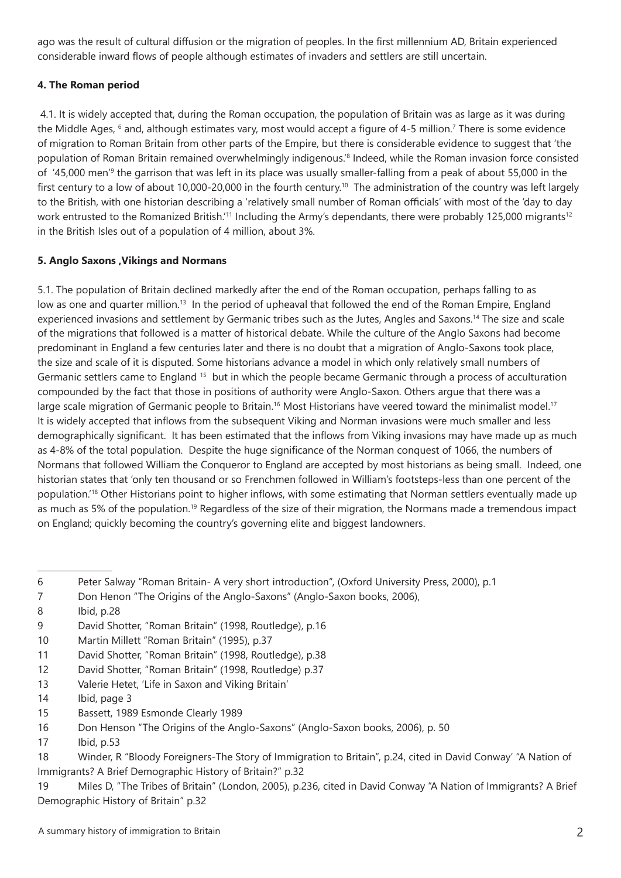ago was the result of cultural diffusion or the migration of peoples. In the first millennium AD, Britain experienced considerable inward flows of people although estimates of invaders and settlers are still uncertain.

# **4. The Roman period**

 4.1. It is widely accepted that, during the Roman occupation, the population of Britain was as large as it was during the Middle Ages, <sup>6</sup> and, although estimates vary, most would accept a figure of 4-5 million.<sup>7</sup> There is some evidence of migration to Roman Britain from other parts of the Empire, but there is considerable evidence to suggest that 'the population of Roman Britain remained overwhelmingly indigenous.'8 Indeed, while the Roman invasion force consisted of '45,000 men'<sup>9</sup> the garrison that was left in its place was usually smaller-falling from a peak of about 55,000 in the first century to a low of about 10,000-20,000 in the fourth century.<sup>10</sup> The administration of the country was left largely to the British, with one historian describing a 'relatively small number of Roman officials' with most of the 'day to day work entrusted to the Romanized British.<sup>'11</sup> Including the Army's dependants, there were probably 125,000 migrants<sup>12</sup> in the British Isles out of a population of 4 million, about 3%.

## **5. Anglo Saxons ,Vikings and Normans**

5.1. The population of Britain declined markedly after the end of the Roman occupation, perhaps falling to as low as one and quarter million.<sup>13</sup> In the period of upheaval that followed the end of the Roman Empire, England experienced invasions and settlement by Germanic tribes such as the Jutes, Angles and Saxons.14 The size and scale of the migrations that followed is a matter of historical debate. While the culture of the Anglo Saxons had become predominant in England a few centuries later and there is no doubt that a migration of Anglo-Saxons took place, the size and scale of it is disputed. Some historians advance a model in which only relatively small numbers of Germanic settlers came to England 15 but in which the people became Germanic through a process of acculturation compounded by the fact that those in positions of authority were Anglo-Saxon. Others argue that there was a large scale migration of Germanic people to Britain.<sup>16</sup> Most Historians have veered toward the minimalist model.<sup>17</sup> It is widely accepted that inflows from the subsequent Viking and Norman invasions were much smaller and less demographically significant. It has been estimated that the inflows from Viking invasions may have made up as much as 4-8% of the total population. Despite the huge significance of the Norman conquest of 1066, the numbers of Normans that followed William the Conqueror to England are accepted by most historians as being small. Indeed, one historian states that 'only ten thousand or so Frenchmen followed in William's footsteps-less than one percent of the population.'18 Other Historians point to higher inflows, with some estimating that Norman settlers eventually made up as much as 5% of the population.<sup>19</sup> Regardless of the size of their migration, the Normans made a tremendous impact on England; quickly becoming the country's governing elite and biggest landowners.

15 Bassett, 1989 Esmonde Clearly 1989

<sup>6</sup> Peter Salway "Roman Britain- A very short introduction", (Oxford University Press, 2000), p.1

<sup>7</sup> Don Henon "The Origins of the Anglo-Saxons" (Anglo-Saxon books, 2006),

<sup>8</sup> Ibid, p.28

<sup>9</sup> David Shotter, "Roman Britain" (1998, Routledge), p.16

<sup>10</sup> Martin Millett "Roman Britain" (1995), p.37

<sup>11</sup> David Shotter, "Roman Britain" (1998, Routledge), p.38

<sup>12</sup> David Shotter, "Roman Britain" (1998, Routledge) p.37

<sup>13</sup> Valerie Hetet, 'Life in Saxon and Viking Britain'

<sup>14</sup> Ibid, page 3

<sup>16</sup> Don Henson "The Origins of the Anglo-Saxons" (Anglo-Saxon books, 2006), p. 50

<sup>17</sup> Ibid, p.53

<sup>18</sup> Winder, R "Bloody Foreigners-The Story of Immigration to Britain", p.24, cited in David Conway' "A Nation of Immigrants? A Brief Demographic History of Britain?" p.32

<sup>19</sup> Miles D, "The Tribes of Britain" (London, 2005), p.236, cited in David Conway "A Nation of Immigrants? A Brief Demographic History of Britain" p.32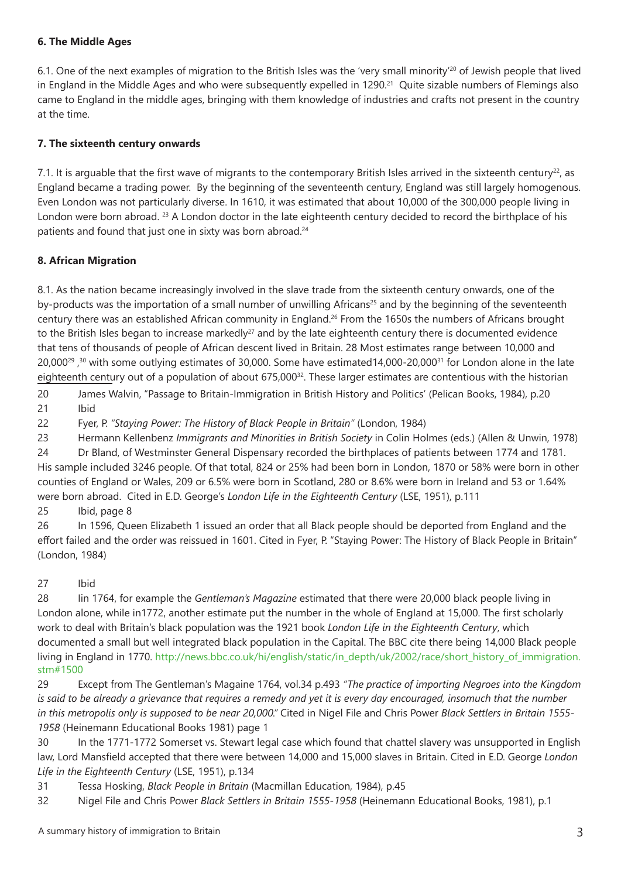#### **6. The Middle Ages**

6.1. One of the next examples of migration to the British Isles was the 'very small minority'20 of Jewish people that lived in England in the Middle Ages and who were subsequently expelled in 1290.<sup>21</sup> Quite sizable numbers of Flemings also came to England in the middle ages, bringing with them knowledge of industries and crafts not present in the country at the time.

#### **7. The sixteenth century onwards**

7.1. It is arguable that the first wave of migrants to the contemporary British Isles arrived in the sixteenth century<sup>22</sup>, as England became a trading power. By the beginning of the seventeenth century, England was still largely homogenous. Even London was not particularly diverse. In 1610, it was estimated that about 10,000 of the 300,000 people living in London were born abroad. <sup>23</sup> A London doctor in the late eighteenth century decided to record the birthplace of his patients and found that just one in sixty was born abroad.<sup>24</sup>

#### **8. African Migration**

8.1. As the nation became increasingly involved in the slave trade from the sixteenth century onwards, one of the by-products was the importation of a small number of unwilling Africans<sup>25</sup> and by the beginning of the seventeenth century there was an established African community in England.26 From the 1650s the numbers of Africans brought to the British Isles began to increase markedly<sup>27</sup> and by the late eighteenth century there is documented evidence that tens of thousands of people of African descent lived in Britain. 28 Most estimates range between 10,000 and  $20,000^{29}$ , <sup>30</sup> with some outlying estimates of 30,000. Some have estimated14,000-20,000<sup>31</sup> for London alone in the late eighteenth century out of a population of about 675,00032. These larger estimates are contentious with the historian

20 James Walvin, "Passage to Britain-Immigration in British History and Politics' (Pelican Books, 1984), p.20 21 Ibid

22 Fyer, P. *"Staying Power: The History of Black People in Britain"* (London, 1984)

23 Hermann Kellenbenz *Immigrants and Minorities in British Society* in Colin Holmes (eds.) (Allen & Unwin, 1978)

24 Dr Bland, of Westminster General Dispensary recorded the birthplaces of patients between 1774 and 1781. His sample included 3246 people. Of that total, 824 or 25% had been born in London, 1870 or 58% were born in other counties of England or Wales, 209 or 6.5% were born in Scotland, 280 or 8.6% were born in Ireland and 53 or 1.64% were born abroad. Cited in E.D. George's *London Life in the Eighteenth Century* (LSE, 1951), p.111 25 Ibid, page 8

26 In 1596, Queen Elizabeth 1 issued an order that all Black people should be deported from England and the effort failed and the order was reissued in 1601. Cited in Fyer, P. "Staying Power: The History of Black People in Britain" (London, 1984)

#### 27 Ibid

28 Iin 1764, for example the *Gentleman's Magazine* estimated that there were 20,000 black people living in London alone, while in1772, another estimate put the number in the whole of England at 15,000. The first scholarly work to deal with Britain's black population was the 1921 book *London Life in the Eighteenth Century*, which documented a small but well integrated black population in the Capital. The BBC cite there being 14,000 Black people living in England in 1770. http://news.bbc.co.uk/hi/english/static/in\_depth/uk/2002/race/short\_history\_of\_immigration. stm#1500

29 Except from The Gentleman's Magaine 1764, vol.34 p.493 *"The practice of importing Negroes into the Kingdom is said to be already a grievance that requires a remedy and yet it is every day encouraged, insomuch that the number in this metropolis only is supposed to be near 20,000."* Cited in Nigel File and Chris Power *Black Settlers in Britain 1555- 1958* (Heinemann Educational Books 1981) page 1

30 In the 1771-1772 Somerset vs. Stewart legal case which found that chattel slavery was unsupported in English law, Lord Mansfield accepted that there were between 14,000 and 15,000 slaves in Britain. Cited in E.D. George *London Life in the Eighteenth Century* (LSE, 1951), p.134

31 Tessa Hosking, *Black People in Britain* (Macmillan Education, 1984), p.45

32 Nigel File and Chris Power *Black Settlers in Britain 1555-1958* (Heinemann Educational Books, 1981), p.1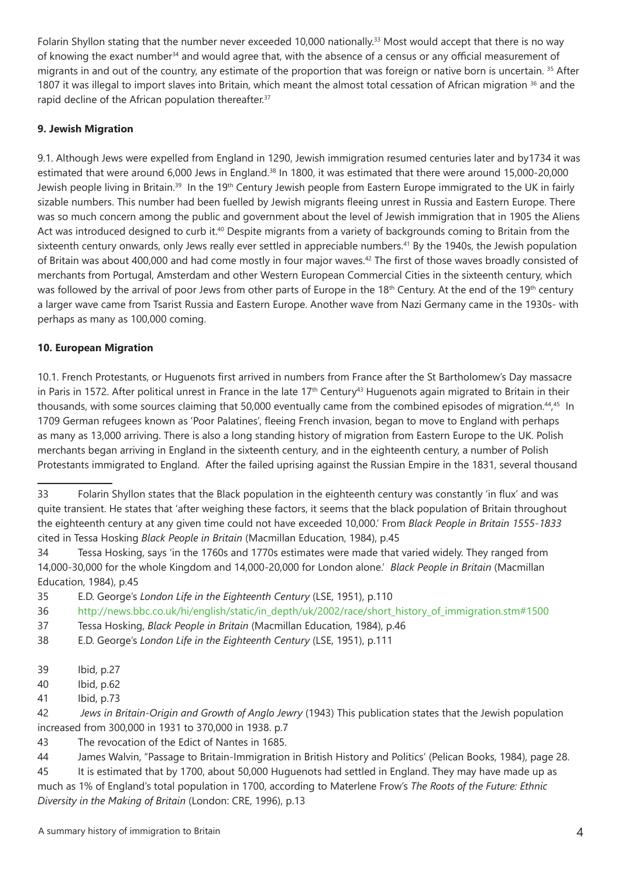Folarin Shyllon stating that the number never exceeded 10,000 nationally.33 Most would accept that there is no way of knowing the exact number<sup>34</sup> and would agree that, with the absence of a census or any official measurement of migrants in and out of the country, any estimate of the proportion that was foreign or native born is uncertain. 35 After 1807 it was illegal to import slaves into Britain, which meant the almost total cessation of African migration <sup>36</sup> and the rapid decline of the African population thereafter.<sup>37</sup>

# **9. Jewish Migration**

9.1. Although Jews were expelled from England in 1290, Jewish immigration resumed centuries later and by1734 it was estimated that were around 6,000 Jews in England.38 In 1800, it was estimated that there were around 15,000-20,000 Jewish people living in Britain.<sup>39</sup> In the 19<sup>th</sup> Century Jewish people from Eastern Europe immigrated to the UK in fairly sizable numbers. This number had been fuelled by Jewish migrants fleeing unrest in Russia and Eastern Europe. There was so much concern among the public and government about the level of Jewish immigration that in 1905 the Aliens Act was introduced designed to curb it.<sup>40</sup> Despite migrants from a variety of backgrounds coming to Britain from the sixteenth century onwards, only Jews really ever settled in appreciable numbers.<sup>41</sup> By the 1940s, the Jewish population of Britain was about 400,000 and had come mostly in four major waves.<sup>42</sup> The first of those waves broadly consisted of merchants from Portugal, Amsterdam and other Western European Commercial Cities in the sixteenth century, which was followed by the arrival of poor Jews from other parts of Europe in the 18<sup>th</sup> Century. At the end of the 19<sup>th</sup> century a larger wave came from Tsarist Russia and Eastern Europe. Another wave from Nazi Germany came in the 1930s- with perhaps as many as 100,000 coming.

# **10. European Migration**

10.1. French Protestants, or Huguenots first arrived in numbers from France after the St Bartholomew's Day massacre in Paris in 1572. After political unrest in France in the late  $17<sup>th</sup>$  Century<sup>43</sup> Huguenots again migrated to Britain in their thousands, with some sources claiming that 50,000 eventually came from the combined episodes of migration.<sup>44,45</sup> In 1709 German refugees known as 'Poor Palatines', fleeing French invasion, began to move to England with perhaps as many as 13,000 arriving. There is also a long standing history of migration from Eastern Europe to the UK. Polish merchants began arriving in England in the sixteenth century, and in the eighteenth century, a number of Polish Protestants immigrated to England. After the failed uprising against the Russian Empire in the 1831, several thousand

<sup>33</sup> Folarin Shyllon states that the Black population in the eighteenth century was constantly 'in flux' and was quite transient. He states that 'after weighing these factors, it seems that the black population of Britain throughout the eighteenth century at any given time could not have exceeded 10,000.' From *Black People in Britain 1555-1833*  cited in Tessa Hosking *Black People in Britain* (Macmillan Education, 1984), p.45

<sup>34</sup> Tessa Hosking, says 'in the 1760s and 1770s estimates were made that varied widely. They ranged from 14,000-30,000 for the whole Kingdom and 14,000-20,000 for London alone.' *Black People in Britain* (Macmillan Education, 1984), p.45

<sup>35</sup> E.D. George's *London Life in the Eighteenth Century* (LSE, 1951), p.110

<sup>36</sup> http://news.bbc.co.uk/hi/english/static/in\_depth/uk/2002/race/short\_history\_of\_immigration.stm#1500

<sup>37</sup> Tessa Hosking, *Black People in Britain* (Macmillan Education, 1984), p.46

<sup>38</sup> E.D. George's *London Life in the Eighteenth Century* (LSE, 1951), p.111

<sup>39</sup> Ibid, p.27

<sup>40</sup> Ibid, p.62

<sup>41</sup> Ibid, p.73

<sup>42</sup> *Jews in Britain-Origin and Growth of Anglo Jewry* (1943) This publication states that the Jewish population increased from 300,000 in 1931 to 370,000 in 1938. p.7

<sup>43</sup> The revocation of the Edict of Nantes in 1685.

<sup>44</sup> James Walvin, "Passage to Britain-Immigration in British History and Politics' (Pelican Books, 1984), page 28.

<sup>45</sup> It is estimated that by 1700, about 50,000 Huguenots had settled in England. They may have made up as much as 1% of England's total population in 1700, according to Materlene Frow's *The Roots of the Future: Ethnic Diversity in the Making of Britain* (London: CRE, 1996), p.13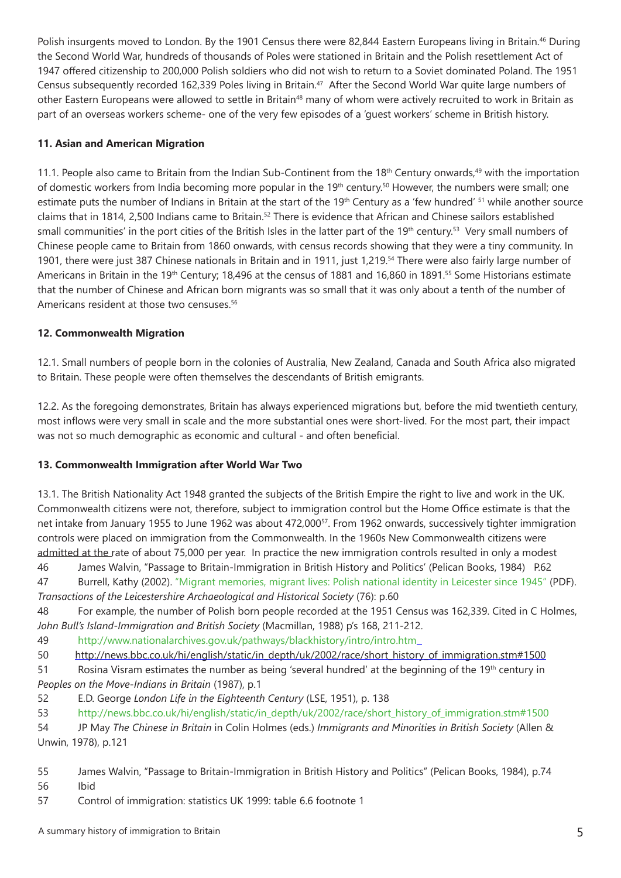Polish insurgents moved to London. By the 1901 Census there were 82,844 Eastern Europeans living in Britain.<sup>46</sup> During the Second World War, hundreds of thousands of Poles were stationed in Britain and the Polish resettlement Act of 1947 offered citizenship to 200,000 Polish soldiers who did not wish to return to a Soviet dominated Poland. The 1951 Census subsequently recorded 162,339 Poles living in Britain.<sup>47</sup> After the Second World War quite large numbers of other Eastern Europeans were allowed to settle in Britain<sup>48</sup> many of whom were actively recruited to work in Britain as part of an overseas workers scheme- one of the very few episodes of a 'guest workers' scheme in British history.

## **11. Asian and American Migration**

11.1. People also came to Britain from the Indian Sub-Continent from the 18<sup>th</sup> Century onwards,<sup>49</sup> with the importation of domestic workers from India becoming more popular in the 19<sup>th</sup> century.<sup>50</sup> However, the numbers were small; one estimate puts the number of Indians in Britain at the start of the 19<sup>th</sup> Century as a 'few hundred' <sup>51</sup> while another source claims that in 1814, 2,500 Indians came to Britain.<sup>52</sup> There is evidence that African and Chinese sailors established small communities' in the port cities of the British Isles in the latter part of the 19<sup>th</sup> century.<sup>53</sup> Very small numbers of Chinese people came to Britain from 1860 onwards, with census records showing that they were a tiny community. In 1901, there were just 387 Chinese nationals in Britain and in 1911, just 1,219.54 There were also fairly large number of Americans in Britain in the 19<sup>th</sup> Century; 18,496 at the census of 1881 and 16,860 in 1891.<sup>55</sup> Some Historians estimate that the number of Chinese and African born migrants was so small that it was only about a tenth of the number of Americans resident at those two censuses.<sup>56</sup>

## **12. Commonwealth Migration**

12.1. Small numbers of people born in the colonies of Australia, New Zealand, Canada and South Africa also migrated to Britain. These people were often themselves the descendants of British emigrants.

12.2. As the foregoing demonstrates, Britain has always experienced migrations but, before the mid twentieth century, most inflows were very small in scale and the more substantial ones were short-lived. For the most part, their impact was not so much demographic as economic and cultural - and often beneficial.

#### **13. Commonwealth Immigration after World War Two**

13.1. The British Nationality Act 1948 granted the subjects of the British Empire the right to live and work in the UK. Commonwealth citizens were not, therefore, subject to immigration control but the Home Office estimate is that the net intake from January 1955 to June 1962 was about 472,00057. From 1962 onwards, successively tighter immigration controls were placed on immigration from the Commonwealth. In the 1960s New Commonwealth citizens were admitted at the rate of about 75,000 per year. In practice the new immigration controls resulted in only a modest

46 James Walvin, "Passage to Britain-Immigration in British History and Politics' (Pelican Books, 1984) P.62

47 Burrell, Kathy (2002). "Migrant memories, migrant lives: Polish national identity in Leicester since 1945" (PDF). *Transactions of the Leicestershire Archaeological and Historical Society* (76): p.60

48 For example, the number of Polish born people recorded at the 1951 Census was 162,339. Cited in C Holmes, *John Bull's Island-Immigration and British Society* (Macmillan, 1988) p's 168, 211-212.

49 http://www.nationalarchives.gov.uk/pathways/blackhistory/intro/intro.htm

50 http://news.bbc.co.uk/hi/english/static/in\_depth/uk/2002/race/short\_history\_of\_immigration.stm#1500

51 Rosina Visram estimates the number as being 'several hundred' at the beginning of the 19<sup>th</sup> century in *Peoples on the Move-Indians in Britain* (1987), p.1

52 E.D. George *London Life in the Eighteenth Century* (LSE, 1951), p. 138

53 http://news.bbc.co.uk/hi/english/static/in\_depth/uk/2002/race/short\_history\_of\_immigration.stm#1500

54 JP May *The Chinese in Britain* in Colin Holmes (eds.) *Immigrants and Minorities in British Society* (Allen & Unwin, 1978), p.121

- 55 James Walvin, "Passage to Britain-Immigration in British History and Politics" (Pelican Books, 1984), p.74 56 Ibid
- 57 Control of immigration: statistics UK 1999: table 6.6 footnote 1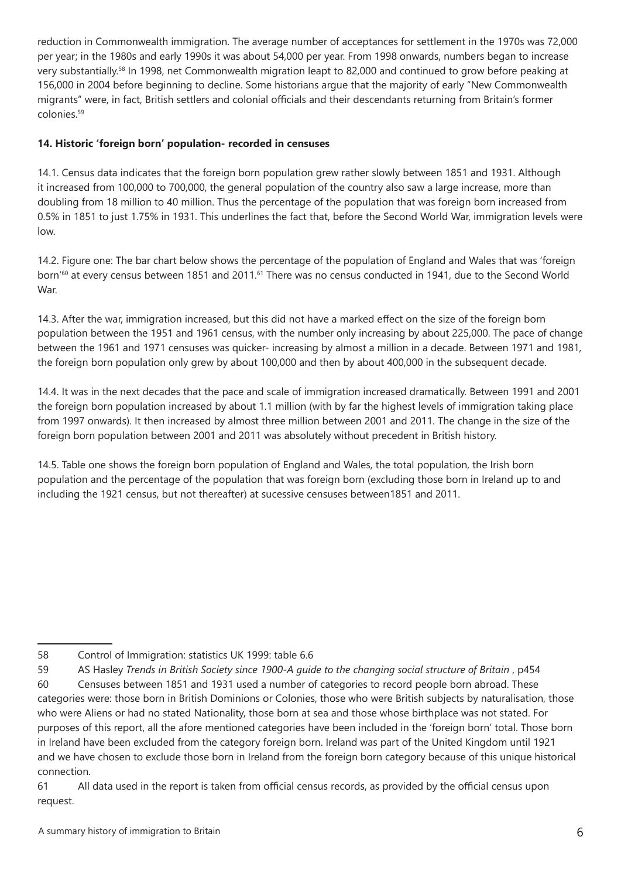reduction in Commonwealth immigration. The average number of acceptances for settlement in the 1970s was 72,000 per year; in the 1980s and early 1990s it was about 54,000 per year. From 1998 onwards, numbers began to increase very substantially.58 In 1998, net Commonwealth migration leapt to 82,000 and continued to grow before peaking at 156,000 in 2004 before beginning to decline. Some historians argue that the majority of early "New Commonwealth migrants" were, in fact, British settlers and colonial officials and their descendants returning from Britain's former colonies.59

## **14. Historic 'foreign born' population- recorded in censuses**

14.1. Census data indicates that the foreign born population grew rather slowly between 1851 and 1931. Although it increased from 100,000 to 700,000, the general population of the country also saw a large increase, more than doubling from 18 million to 40 million. Thus the percentage of the population that was foreign born increased from 0.5% in 1851 to just 1.75% in 1931. This underlines the fact that, before the Second World War, immigration levels were low.

14.2. Figure one: The bar chart below shows the percentage of the population of England and Wales that was 'foreign born'<sup>60</sup> at every census between 1851 and 2011.<sup>61</sup> There was no census conducted in 1941, due to the Second World War.

14.3. After the war, immigration increased, but this did not have a marked effect on the size of the foreign born population between the 1951 and 1961 census, with the number only increasing by about 225,000. The pace of change between the 1961 and 1971 censuses was quicker- increasing by almost a million in a decade. Between 1971 and 1981, the foreign born population only grew by about 100,000 and then by about 400,000 in the subsequent decade.

14.4. It was in the next decades that the pace and scale of immigration increased dramatically. Between 1991 and 2001 the foreign born population increased by about 1.1 million (with by far the highest levels of immigration taking place from 1997 onwards). It then increased by almost three million between 2001 and 2011. The change in the size of the foreign born population between 2001 and 2011 was absolutely without precedent in British history.

14.5. Table one shows the foreign born population of England and Wales, the total population, the Irish born population and the percentage of the population that was foreign born (excluding those born in Ireland up to and including the 1921 census, but not thereafter) at sucessive censuses between1851 and 2011.

59 AS Hasley *Trends in British Society since 1900-A quide to the changing social structure of Britain*, p454

60 Censuses between 1851 and 1931 used a number of categories to record people born abroad. These categories were: those born in British Dominions or Colonies, those who were British subjects by naturalisation, those who were Aliens or had no stated Nationality, those born at sea and those whose birthplace was not stated. For purposes of this report, all the afore mentioned categories have been included in the 'foreign born' total. Those born in Ireland have been excluded from the category foreign born. Ireland was part of the United Kingdom until 1921 and we have chosen to exclude those born in Ireland from the foreign born category because of this unique historical connection.

<sup>58</sup> Control of Immigration: statistics UK 1999: table 6.6

<sup>61</sup> All data used in the report is taken from official census records, as provided by the official census upon request.